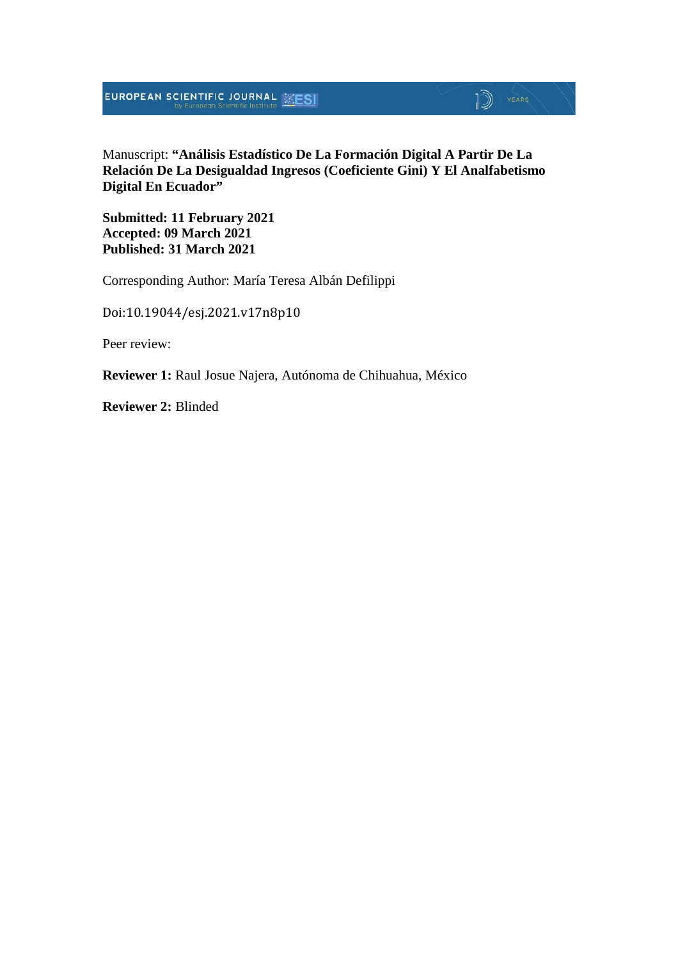#### Manuscript: **"Análisis Estadístico De La Formación Digital A Partir De La Relación De La Desigualdad Ingresos (Coeficiente Gini) Y El Analfabetismo Digital En Ecuador"**

 $\mathbb{D}$  YEARS

**Submitted: 11 February 2021 Accepted: 09 March 2021 Published: 31 March 2021**

Corresponding Author: María Teresa Albán Defilippi

Doi:10.19044/esj.2021.v17n8p10

Peer review:

**Reviewer 1:** Raul Josue Najera, Autónoma de Chihuahua, México

**Reviewer 2:** Blinded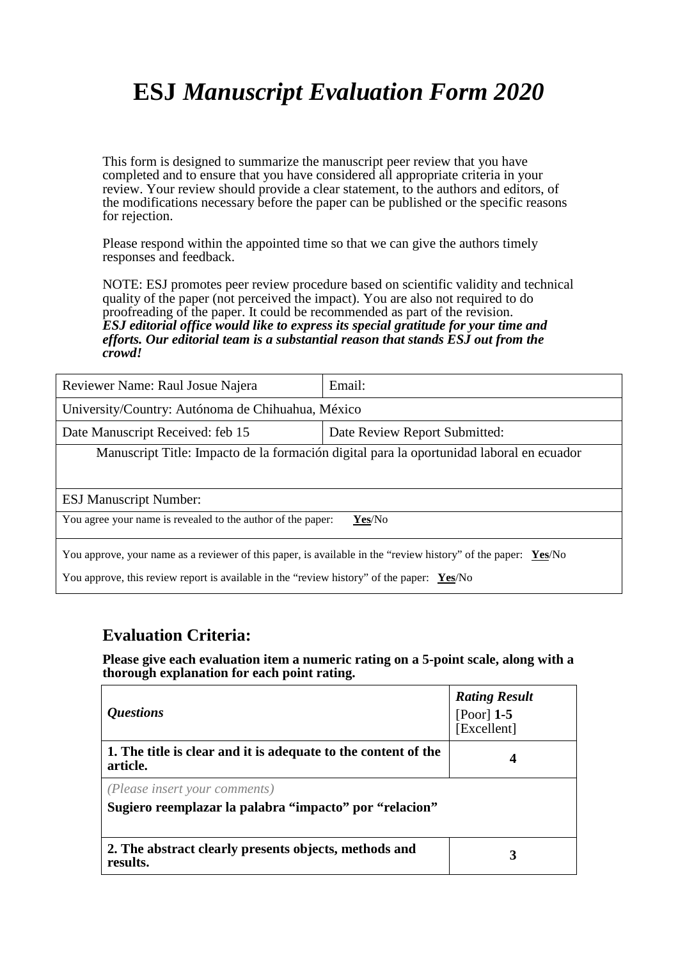# **ESJ** *Manuscript Evaluation Form 2020*

This form is designed to summarize the manuscript peer review that you have completed and to ensure that you have considered all appropriate criteria in your review. Your review should provide a clear statement, to the authors and editors, of the modifications necessary before the paper can be published or the specific reasons for rejection.

Please respond within the appointed time so that we can give the authors timely responses and feedback.

NOTE: ESJ promotes peer review procedure based on scientific validity and technical quality of the paper (not perceived the impact). You are also not required to do proofreading of the paper. It could be recommended as part of the revision. *ESJ editorial office would like to express its special gratitude for your time and efforts. Our editorial team is a substantial reason that stands ESJ out from the crowd!* 

| Reviewer Name: Raul Josue Najera                                                                              | Email:                        |  |
|---------------------------------------------------------------------------------------------------------------|-------------------------------|--|
| University/Country: Autónoma de Chihuahua, México                                                             |                               |  |
| Date Manuscript Received: feb 15                                                                              | Date Review Report Submitted: |  |
| Manuscript Title: Impacto de la formación digital para la oportunidad laboral en ecuador                      |                               |  |
|                                                                                                               |                               |  |
| <b>ESJ Manuscript Number:</b>                                                                                 |                               |  |
| You agree your name is revealed to the author of the paper:<br>$Yes/No$                                       |                               |  |
|                                                                                                               |                               |  |
| You approve, your name as a reviewer of this paper, is available in the "review history" of the paper: Yes/No |                               |  |
| You approve, this review report is available in the "review history" of the paper: $Yes/No$                   |                               |  |

### **Evaluation Criteria:**

**Please give each evaluation item a numeric rating on a 5-point scale, along with a thorough explanation for each point rating.**

| <i><b>Questions</b></i>                                                                          | <b>Rating Result</b><br>[Poor] $1-5$<br>[Excellent] |
|--------------------------------------------------------------------------------------------------|-----------------------------------------------------|
| 1. The title is clear and it is adequate to the content of the<br>article.                       | 4                                                   |
| ( <i>Please insert your comments</i> )<br>Sugiero reemplazar la palabra "impacto" por "relacion" |                                                     |
| 2. The abstract clearly presents objects, methods and<br>results.                                |                                                     |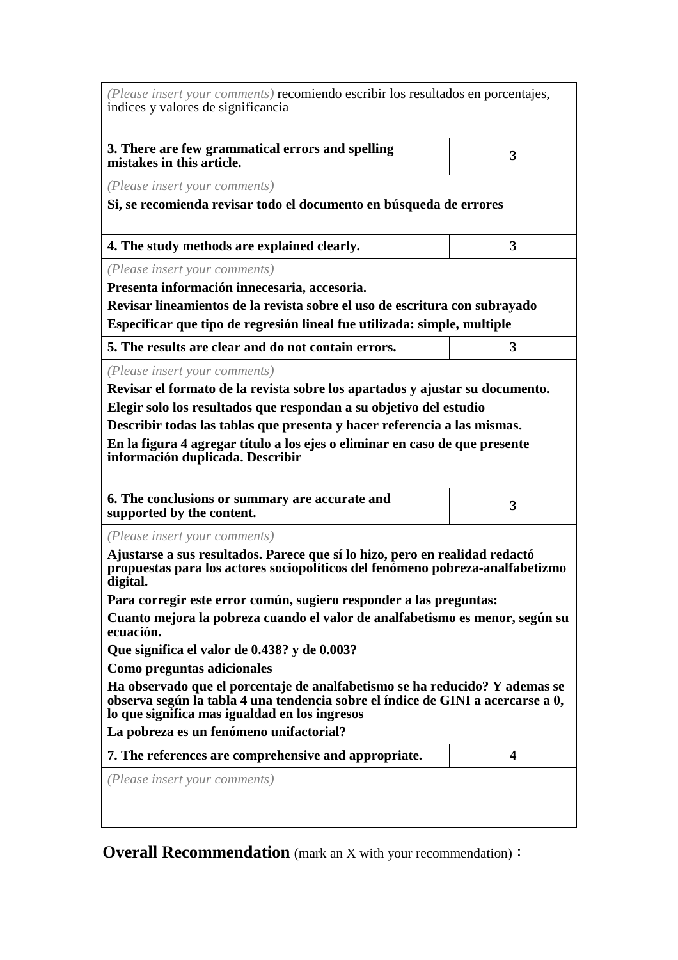| (Please insert your comments) recomiendo escribir los resultados en porcentajes,<br>indices y valores de significancia                                                                                                                                                                                                                                                                                                                                                                                                                                                                                                                                                                                                   |   |  |
|--------------------------------------------------------------------------------------------------------------------------------------------------------------------------------------------------------------------------------------------------------------------------------------------------------------------------------------------------------------------------------------------------------------------------------------------------------------------------------------------------------------------------------------------------------------------------------------------------------------------------------------------------------------------------------------------------------------------------|---|--|
| 3. There are few grammatical errors and spelling<br>mistakes in this article.                                                                                                                                                                                                                                                                                                                                                                                                                                                                                                                                                                                                                                            | 3 |  |
| (Please insert your comments)                                                                                                                                                                                                                                                                                                                                                                                                                                                                                                                                                                                                                                                                                            |   |  |
| Si, se recomienda revisar todo el documento en búsqueda de errores                                                                                                                                                                                                                                                                                                                                                                                                                                                                                                                                                                                                                                                       |   |  |
| 4. The study methods are explained clearly.                                                                                                                                                                                                                                                                                                                                                                                                                                                                                                                                                                                                                                                                              | 3 |  |
| (Please insert your comments)                                                                                                                                                                                                                                                                                                                                                                                                                                                                                                                                                                                                                                                                                            |   |  |
| Presenta información innecesaria, accesoria.                                                                                                                                                                                                                                                                                                                                                                                                                                                                                                                                                                                                                                                                             |   |  |
| Revisar lineamientos de la revista sobre el uso de escritura con subrayado                                                                                                                                                                                                                                                                                                                                                                                                                                                                                                                                                                                                                                               |   |  |
| Especificar que tipo de regresión lineal fue utilizada: simple, multiple                                                                                                                                                                                                                                                                                                                                                                                                                                                                                                                                                                                                                                                 |   |  |
| 5. The results are clear and do not contain errors.                                                                                                                                                                                                                                                                                                                                                                                                                                                                                                                                                                                                                                                                      | 3 |  |
| (Please insert your comments)<br>Revisar el formato de la revista sobre los apartados y ajustar su documento.<br>Elegir solo los resultados que respondan a su objetivo del estudio<br>Describir todas las tablas que presenta y hacer referencia a las mismas.<br>En la figura 4 agregar título a los ejes o eliminar en caso de que presente<br>información duplicada. Describir                                                                                                                                                                                                                                                                                                                                       |   |  |
| 6. The conclusions or summary are accurate and<br>supported by the content.                                                                                                                                                                                                                                                                                                                                                                                                                                                                                                                                                                                                                                              | 3 |  |
| (Please insert your comments)<br>Ajustarse a sus resultados. Parece que sí lo hizo, pero en realidad redactó<br>propuestas para los actores sociopolíticos del fenómeno pobreza-analfabetizmo<br>digital.<br>Para corregir este error común, sugiero responder a las preguntas:<br>Cuanto mejora la pobreza cuando el valor de analfabetismo es menor, según su<br>ecuación.<br>Que significa el valor de 0.438? y de 0.003?<br>Como preguntas adicionales<br>Ha observado que el porcentaje de analfabetismo se ha reducido? Y ademas se<br>observa según la tabla 4 una tendencia sobre el índice de GINI a acercarse a 0,<br>lo que significa mas igualdad en los ingresos<br>La pobreza es un fenómeno unifactorial? |   |  |
|                                                                                                                                                                                                                                                                                                                                                                                                                                                                                                                                                                                                                                                                                                                          |   |  |
| 7. The references are comprehensive and appropriate.                                                                                                                                                                                                                                                                                                                                                                                                                                                                                                                                                                                                                                                                     | 4 |  |
| (Please insert your comments)                                                                                                                                                                                                                                                                                                                                                                                                                                                                                                                                                                                                                                                                                            |   |  |

**Overall Recommendation** (mark an X with your recommendation):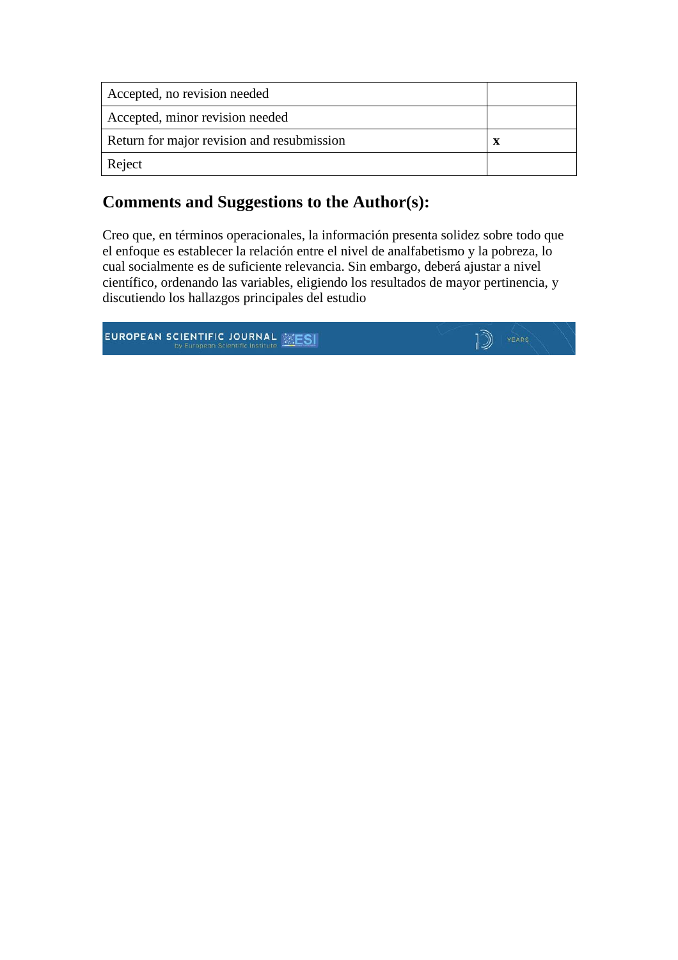| Accepted, no revision needed               |   |
|--------------------------------------------|---|
| Accepted, minor revision needed            |   |
| Return for major revision and resubmission | X |
| Reject                                     |   |

### **Comments and Suggestions to the Author(s):**

Creo que, en términos operacionales, la información presenta solidez sobre todo que el enfoque es establecer la relación entre el nivel de analfabetismo y la pobreza, lo cual socialmente es de suficiente relevancia. Sin embargo, deberá ajustar a nivel científico, ordenando las variables, eligiendo los resultados de mayor pertinencia, y discutiendo los hallazgos principales del estudio

**EUROPEAN SCIENTIFIC JOURNAL SESI** 

 $\mathbb{D}$  YEARS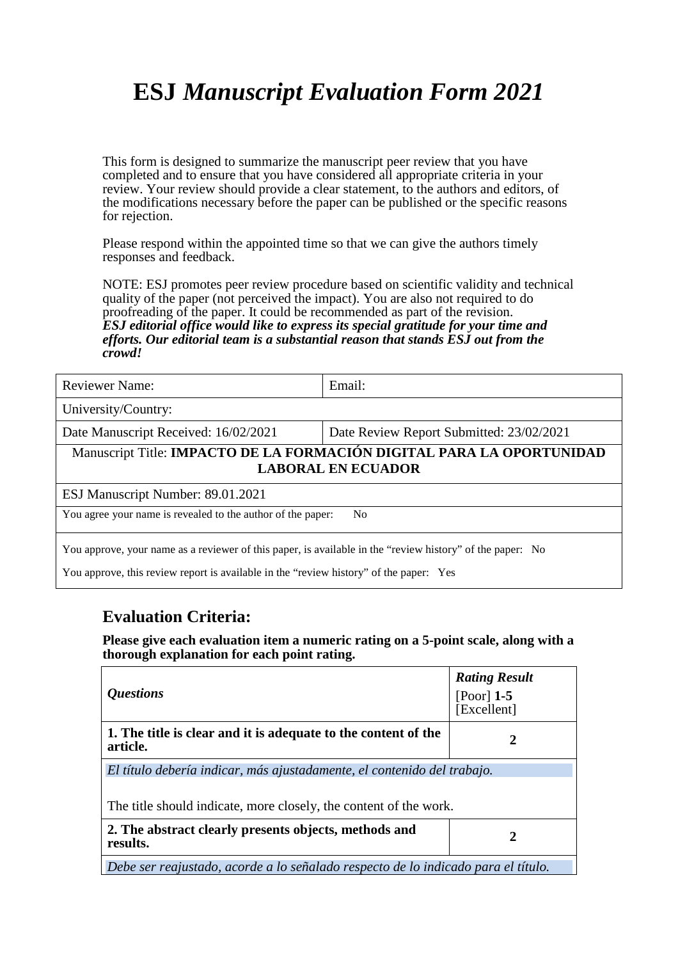# **ESJ** *Manuscript Evaluation Form 2021*

This form is designed to summarize the manuscript peer review that you have completed and to ensure that you have considered all appropriate criteria in your review. Your review should provide a clear statement, to the authors and editors, of the modifications necessary before the paper can be published or the specific reasons for rejection.

Please respond within the appointed time so that we can give the authors timely responses and feedback.

NOTE: ESJ promotes peer review procedure based on scientific validity and technical quality of the paper (not perceived the impact). You are also not required to do proofreading of the paper. It could be recommended as part of the revision. *ESJ editorial office would like to express its special gratitude for your time and efforts. Our editorial team is a substantial reason that stands ESJ out from the crowd!* 

| <b>Reviewer Name:</b>                                                                                     | Email:                                   |  |
|-----------------------------------------------------------------------------------------------------------|------------------------------------------|--|
| University/Country:                                                                                       |                                          |  |
| Date Manuscript Received: 16/02/2021                                                                      | Date Review Report Submitted: 23/02/2021 |  |
| Manuscript Title: IMPACTO DE LA FORMACIÓN DIGITAL PARA LA OPORTUNIDAD<br><b>LABORAL EN ECUADOR</b>        |                                          |  |
| ESJ Manuscript Number: 89.01.2021                                                                         |                                          |  |
| You agree your name is revealed to the author of the paper:<br>N <sub>0</sub>                             |                                          |  |
| You approve, your name as a reviewer of this paper, is available in the "review history" of the paper: No |                                          |  |

You approve, this review report is available in the "review history" of the paper: Yes

### **Evaluation Criteria:**

**Please give each evaluation item a numeric rating on a 5-point scale, along with a thorough explanation for each point rating.**

| <i><b>Questions</b></i>                                                                                                                      | <b>Rating Result</b><br>[Poor] $1-5$<br>[Excellent] |
|----------------------------------------------------------------------------------------------------------------------------------------------|-----------------------------------------------------|
| 1. The title is clear and it is adequate to the content of the<br>article.                                                                   | 2                                                   |
| El título debería indicar, más ajustadamente, el contenido del trabajo.<br>The title should indicate, more closely, the content of the work. |                                                     |
| 2. The abstract clearly presents objects, methods and<br>results.                                                                            | 2                                                   |
| Debe ser reajustado, acorde a lo señalado respecto de lo indicado para el título.                                                            |                                                     |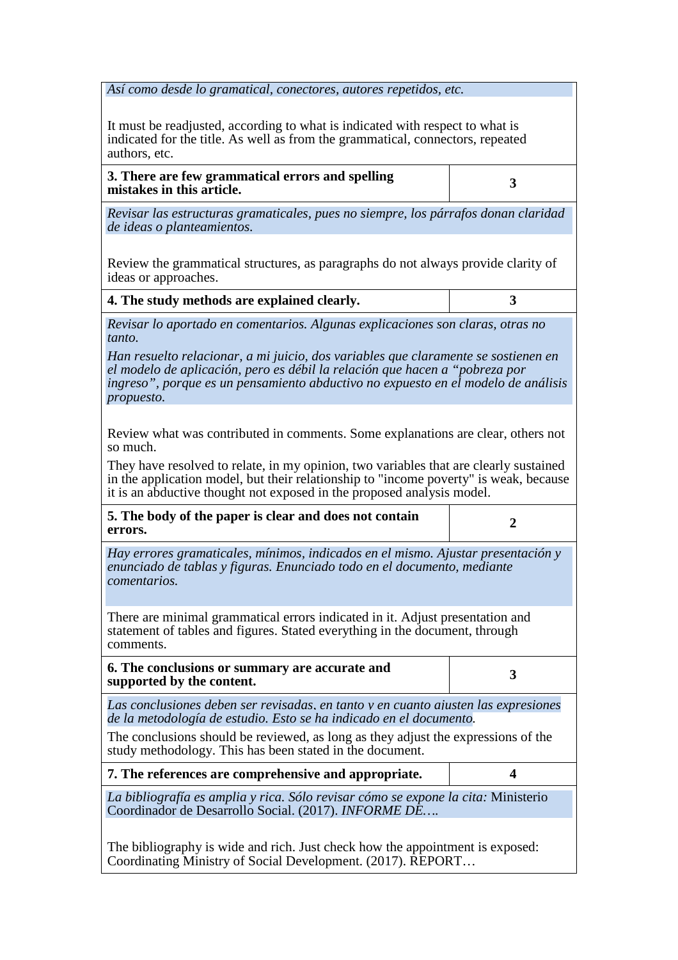*Así como desde lo gramatical, conectores, autores repetidos, etc.* 

It must be readjusted, according to what is indicated with respect to what is indicated for the title. As well as from the grammatical, connectors, repeated authors, etc.

**3. There are few grammatical errors and spelling mistakes in this article. <sup>3</sup>**

*Revisar las estructuras gramaticales, pues no siempre, los párrafos donan claridad de ideas o planteamientos.* 

Review the grammatical structures, as paragraphs do not always provide clarity of ideas or approaches.

**4. The study methods are explained clearly. 3**

*Revisar lo aportado en comentarios. Algunas explicaciones son claras, otras no tanto.*

*Han resuelto relacionar, a mi juicio, dos variables que claramente se sostienen en el modelo de aplicación, pero es débil la relación que hacen a "pobreza por ingreso", porque es un pensamiento abductivo no expuesto en el modelo de análisis propuesto.* 

Review what was contributed in comments. Some explanations are clear, others not so much.

They have resolved to relate, in my opinion, two variables that are clearly sustained in the application model, but their relationship to "income poverty" is weak, because it is an abductive thought not exposed in the proposed analysis model.

**5. The body of the paper is clear and does not contain errors. 2**

*Hay errores gramaticales, mínimos, indicados en el mismo. Ajustar presentación y enunciado de tablas y figuras. Enunciado todo en el documento, mediante comentarios.*

There are minimal grammatical errors indicated in it. Adjust presentation and statement of tables and figures. Stated everything in the document, through comments.

**6. The conclusions or summary are accurate and supported by the content. 3**<br>supported by the content.

*Las conclusiones deben ser revisadas, en tanto y en cuanto ajusten las expresiones de la metodología de estudio. Esto se ha indicado en el documento.*

The conclusions should be reviewed, as long as they adjust the expressions of the study methodology. This has been stated in the document.

| 7. The references are comprehensive and appropriate.                                                                                      |  |
|-------------------------------------------------------------------------------------------------------------------------------------------|--|
| La bibliografía es amplia y rica. Sólo revisar cómo se expone la cita: Ministerio<br>Coordinador de Desarrollo Social. (2017). INFORME DE |  |

The bibliography is wide and rich. Just check how the appointment is exposed: Coordinating Ministry of Social Development. (2017). REPORT…